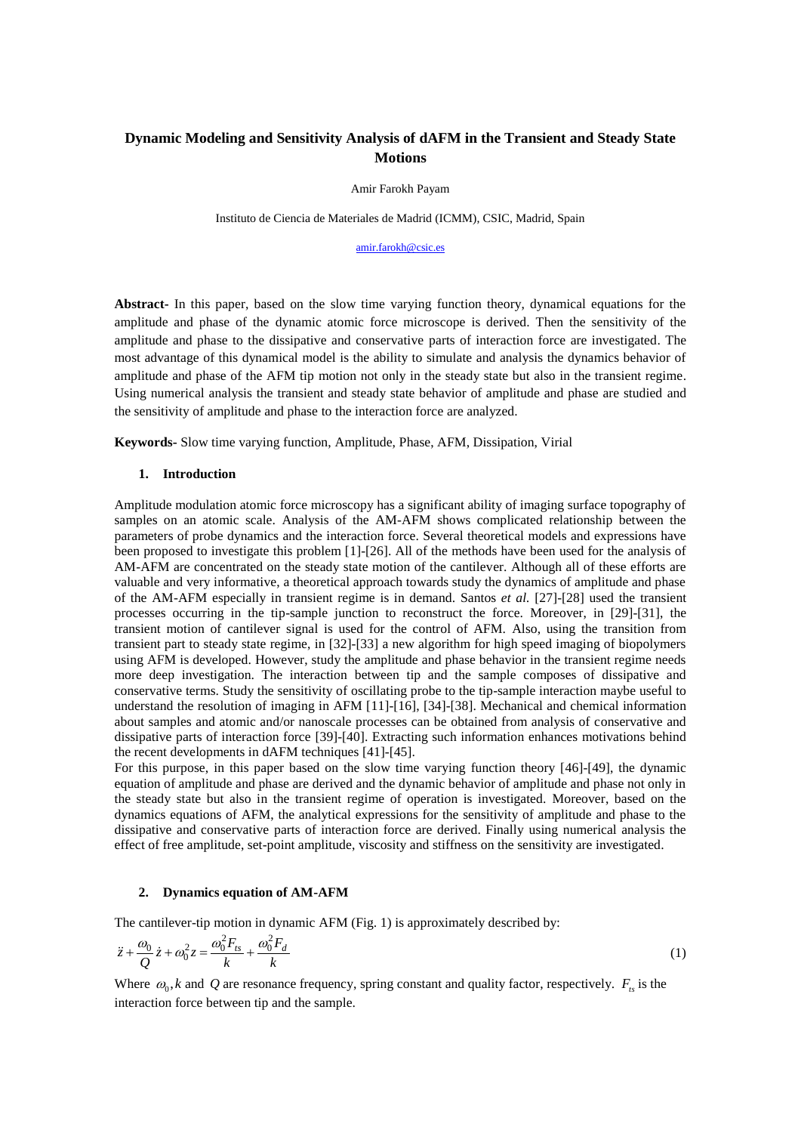# **Dynamic Modeling and Sensitivity Analysis of dAFM in the Transient and Steady State Motions**

Amir Farokh Payam

Instituto de Ciencia de Materiales de Madrid (ICMM), CSIC, Madrid, Spain

[amir.farokh@csic.es](mailto:amir.farokh@csic.es)

**Abstract-** In this paper, based on the slow time varying function theory, dynamical equations for the amplitude and phase of the dynamic atomic force microscope is derived. Then the sensitivity of the amplitude and phase to the dissipative and conservative parts of interaction force are investigated. The most advantage of this dynamical model is the ability to simulate and analysis the dynamics behavior of amplitude and phase of the AFM tip motion not only in the steady state but also in the transient regime. Using numerical analysis the transient and steady state behavior of amplitude and phase are studied and the sensitivity of amplitude and phase to the interaction force are analyzed.

**Keywords-** Slow time varying function, Amplitude, Phase, AFM, Dissipation, Virial

#### **1. Introduction**

Amplitude modulation atomic force microscopy has a significant ability of imaging surface topography of samples on an atomic scale. Analysis of the AM-AFM shows complicated relationship between the parameters of probe dynamics and the interaction force. Several theoretical models and expressions have been proposed to investigate this problem [1]-[26]. All of the methods have been used for the analysis of AM-AFM are concentrated on the steady state motion of the cantilever. Although all of these efforts are valuable and very informative, a theoretical approach towards study the dynamics of amplitude and phase of the AM-AFM especially in transient regime is in demand. Santos *et al.* [27]-[28] used the transient processes occurring in the tip-sample junction to reconstruct the force. Moreover, in [29]-[31], the transient motion of cantilever signal is used for the control of AFM. Also, using the transition from transient part to steady state regime, in [32]-[33] a new algorithm for high speed imaging of biopolymers using AFM is developed. However, study the amplitude and phase behavior in the transient regime needs more deep investigation. The interaction between tip and the sample composes of dissipative and conservative terms. Study the sensitivity of oscillating probe to the tip-sample interaction maybe useful to understand the resolution of imaging in AFM [11]-[16], [34]-[38]. Mechanical and chemical information about samples and atomic and/or nanoscale processes can be obtained from analysis of conservative and dissipative parts of interaction force [39]-[40]. Extracting such information enhances motivations behind the recent developments in dAFM techniques [41]-[45].

For this purpose, in this paper based on the slow time varying function theory [46]-[49], the dynamic equation of amplitude and phase are derived and the dynamic behavior of amplitude and phase not only in the steady state but also in the transient regime of operation is investigated. Moreover, based on the dynamics equations of AFM, the analytical expressions for the sensitivity of amplitude and phase to the dissipative and conservative parts of interaction force are derived. Finally using numerical analysis the effect of free amplitude, set-point amplitude, viscosity and stiffness on the sensitivity are investigated.

# **2. Dynamics equation of AM-AFM**

The cantilever-tip motion in dynamic AFM (Fig. 1) is approximately described by:

$$
\ddot{z} + \frac{\omega_0}{Q}\dot{z} + \omega_0^2 z = \frac{\omega_0^2 F_{ts}}{k} + \frac{\omega_0^2 F_d}{k}
$$
\n<sup>(1)</sup>

Where  $\omega_0$ , *k* and Q are resonance frequency, spring constant and quality factor, respectively.  $F_{ts}$  is the interaction force between tip and the sample.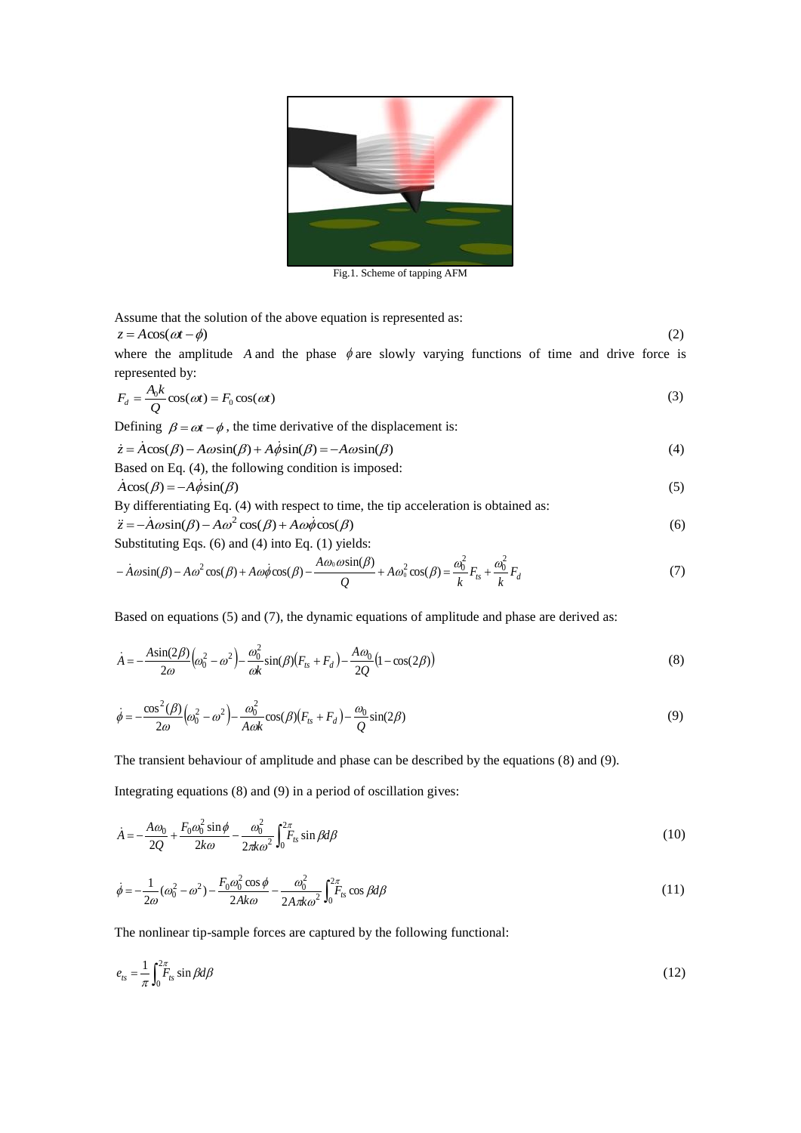

Fig.1. Scheme of tapping AFM

Assume that the solution of the above equation is represented as:  $z = A\cos(\omega t - \phi)$  (2)

where the amplitude A and the phase  $\phi$  are slowly varying functions of time and drive force is represented by:

$$
F_d = \frac{A_0 k}{Q} \cos(\omega t) = F_0 \cos(\omega t)
$$
\n(3)

Defining  $\beta = \omega t - \phi$ , the time derivative of the displacement is:

$$
\dot{z} = A\cos(\beta) - A\omega\sin(\beta) + A\dot{\phi}\sin(\beta) = -A\omega\sin(\beta)
$$
\n(4)

Based on Eq. (4), the following condition is imposed:  
\n
$$
\dot{A}\cos(\beta) = -A\dot{\phi}\sin(\beta)
$$
\n(5)

By differentiating Eq. (4) with respect to time, the tip acceleration is obtained as:  
\n
$$
\ddot{z} = -A\omega \sin(\beta) - A\omega^2 \cos(\beta) + A\omega \dot{\phi} \cos(\beta)
$$
\n(6)

Substituting Eqs. (6) and (4) into Eq. (1) yields:

$$
-\dot{A}\omega\sin(\beta) - A\omega^2\cos(\beta) + A\omega\dot{\phi}\cos(\beta) - \frac{A\omega_0\omega\sin(\beta)}{Q} + A\omega_0^2\cos(\beta) = \frac{\omega_0^2}{k}F_{ts} + \frac{\omega_0^2}{k}F_d
$$
\n(7)

Based on equations (5) and (7), the dynamic equations of amplitude and phase are derived as:

$$
\dot{A} = -\frac{A\sin(2\beta)}{2\omega} \left(\omega_0^2 - \omega^2\right) - \frac{\omega_0^2}{\omega k} \sin(\beta) \left(F_{ts} + F_d\right) - \frac{A\omega_0}{2Q} \left(1 - \cos(2\beta)\right) \tag{8}
$$

$$
\dot{\phi} = -\frac{\cos^2(\beta)}{2\omega} \Big(\omega_0^2 - \omega^2\Big) - \frac{\omega_0^2}{A \omega k} \cos(\beta) \Big(F_{ts} + F_d\Big) - \frac{\omega_0}{Q} \sin(2\beta) \tag{9}
$$

The transient behaviour of amplitude and phase can be described by the equations (8) and (9).

Integrating equations (8) and (9) in a period of oscillation gives:

$$
\dot{A} = -\frac{A\omega_0}{2Q} + \frac{F_0\omega_0^2 \sin\phi}{2k\omega} - \frac{\omega_0^2}{2\pi k\omega^2} \int_0^{2\pi} F_{ts} \sin\beta d\beta \tag{10}
$$

$$
\dot{\phi} = -\frac{1}{2\omega}(\omega_0^2 - \omega^2) - \frac{F_0 \omega_0^2 \cos \phi}{2A \kappa \omega} - \frac{\omega_0^2}{2A \pi k \omega^2} \int_0^{2\pi} F_{ts} \cos \beta d\beta \tag{11}
$$

The nonlinear tip-sample forces are captured by the following functional:

$$
e_{ts} = \frac{1}{\pi} \int_0^{2\pi} F_{ts} \sin \beta d\beta \tag{12}
$$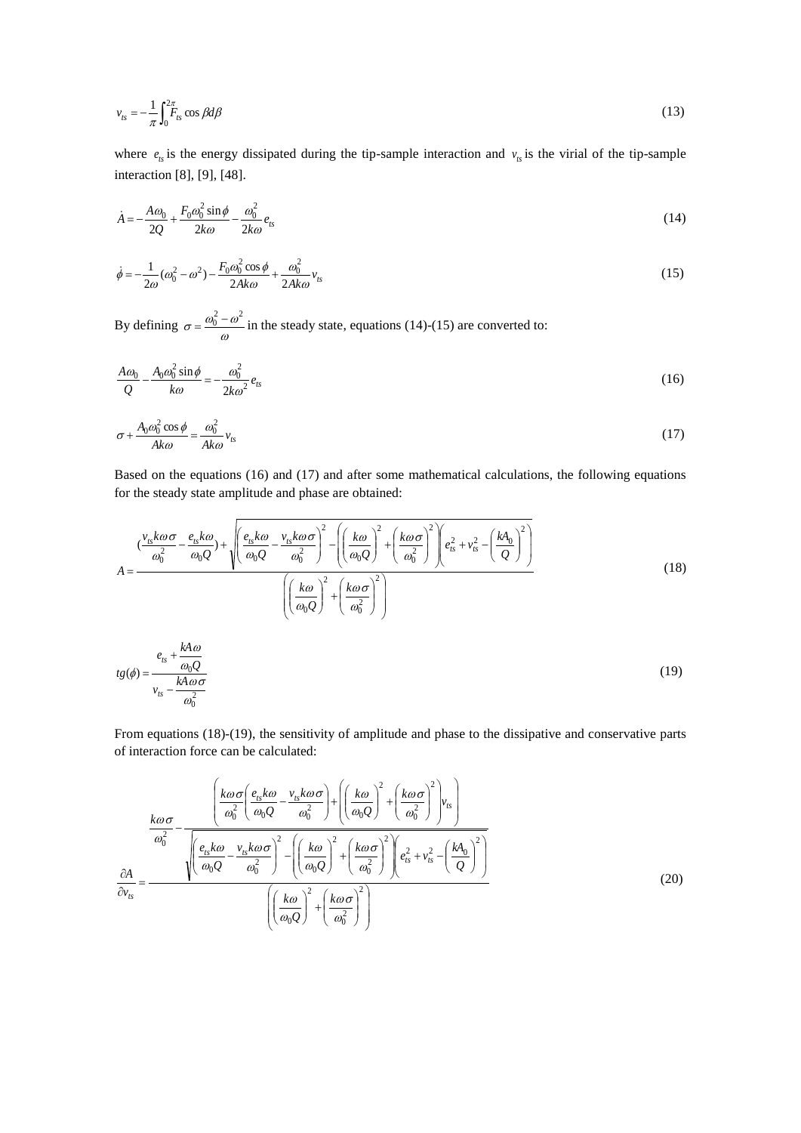$$
v_{ts} = -\frac{1}{\pi} \int_0^{2\pi} F_{ts} \cos \beta d\beta \tag{13}
$$

where  $e_{ts}$  is the energy dissipated during the tip-sample interaction and  $v_{ts}$  is the virial of the tip-sample interaction [8], [9], [48].

$$
\dot{A} = -\frac{A\omega_0}{2Q} + \frac{F_0\omega_0^2 \sin\phi}{2k\omega} - \frac{\omega_0^2}{2k\omega}e_{ts}
$$
\n
$$
(14)
$$

$$
\dot{\phi} = -\frac{1}{2\omega}(\omega_0^2 - \omega^2) - \frac{F_0 \omega_0^2 \cos \phi}{2A k \omega} + \frac{\omega_0^2}{2A k \omega} v_{ts}
$$
(15)

By defining  $\sigma = \frac{\omega_0 - \omega_0}{\omega}$  $\sigma = \frac{\omega_0 - \omega}{\sqrt{2\pi}}$  $=\frac{\omega_0^2 - \omega^2}{\omega_0^2}$  in the steady state, equations (14)-(15) are converted to:

$$
\frac{A\omega_0}{Q} - \frac{A_0\omega_0^2\sin\phi}{k\omega} = -\frac{\omega_0^2}{2k\omega^2}e_{ts}
$$
\n(16)

$$
\sigma + \frac{A_0 \omega_0^2 \cos \phi}{Ak\omega} = \frac{\omega_0^2}{Ak\omega} v_{ts} \tag{17}
$$

Based on the equations (16) and (17) and after some mathematical calculations, the following equations

for the steady state amplitude and phase are obtained:  
\n
$$
\left(\frac{v_{1s}k\omega\sigma}{\omega_0^2} - \frac{e_{1s}k\omega}{\omega_0Q}\right) + \sqrt{\left(\frac{e_{1s}k\omega}{\omega_0Q} - \frac{v_{1s}k\omega\sigma}{\omega_0^2}\right)^2 - \left(\left(\frac{k\omega}{\omega_0Q}\right)^2 + \left(\frac{k\omega\sigma}{\omega_0^2}\right)^2\right)e_{1s}^2 + v_{1s}^2 - \left(\frac{kA_0}{Q}\right)^2\right)}
$$
\n
$$
A = \frac{\left(\frac{k\omega}{\omega_0Q}\right)^2 + \left(\frac{k\omega\sigma}{\omega_0^2}\right)^2}{\left(\left(\frac{k\omega}{\omega_0Q}\right)^2 + \left(\frac{k\omega\sigma}{\omega_0^2}\right)^2\right)}
$$
\n
$$
t g(\phi) = \frac{e_{1s} + \frac{kA\omega}{\omega_0Q}}{v_{1s} - \frac{kA\omega\sigma}{\omega_0^2}}
$$
\n(19)

From equations (18)-(19), the sensitivity of amplitude and phase to the dissipative and conservative parts of interaction force can be calculated:

$$
\frac{k\omega\sigma}{\omega_0^2} - \frac{\left(\frac{k\omega\sigma}{\omega_0^2} \left(\frac{e_{ts}k\omega}{\omega_0^2} - \frac{v_{ts}k\omega\sigma}{\omega_0^2}\right) + \left(\left(\frac{k\omega}{\omega_0^2}\right)^2 + \left(\frac{k\omega\sigma}{\omega_0^2}\right)^2\right)v_s\right)}{\sqrt{\frac{e_{ts}k\omega}{\omega_0^2} - \frac{v_{ts}k\omega\sigma}{\omega_0^2}}\left(\frac{k\omega}{\omega_0^2}\right)^2 - \left(\left(\frac{k\omega}{\omega_0^2}\right)^2 + \left(\frac{k\omega\sigma}{\omega_0^2}\right)^2\right)e_s^2 + v_s^2 - \left(\frac{kA_0}{Q}\right)^2}
$$
\n
$$
\frac{\partial A}{\partial v_{ts}} = \frac{\left(\left(\frac{k\omega}{\omega_0^2}\right)^2 + \left(\frac{k\omega\sigma}{\omega_0^2}\right)^2\right)}{\left(\left(\frac{k\omega}{\omega_0^2}\right)^2 + \left(\frac{k\omega\sigma}{\omega_0^2}\right)^2\right)}
$$
\n(20)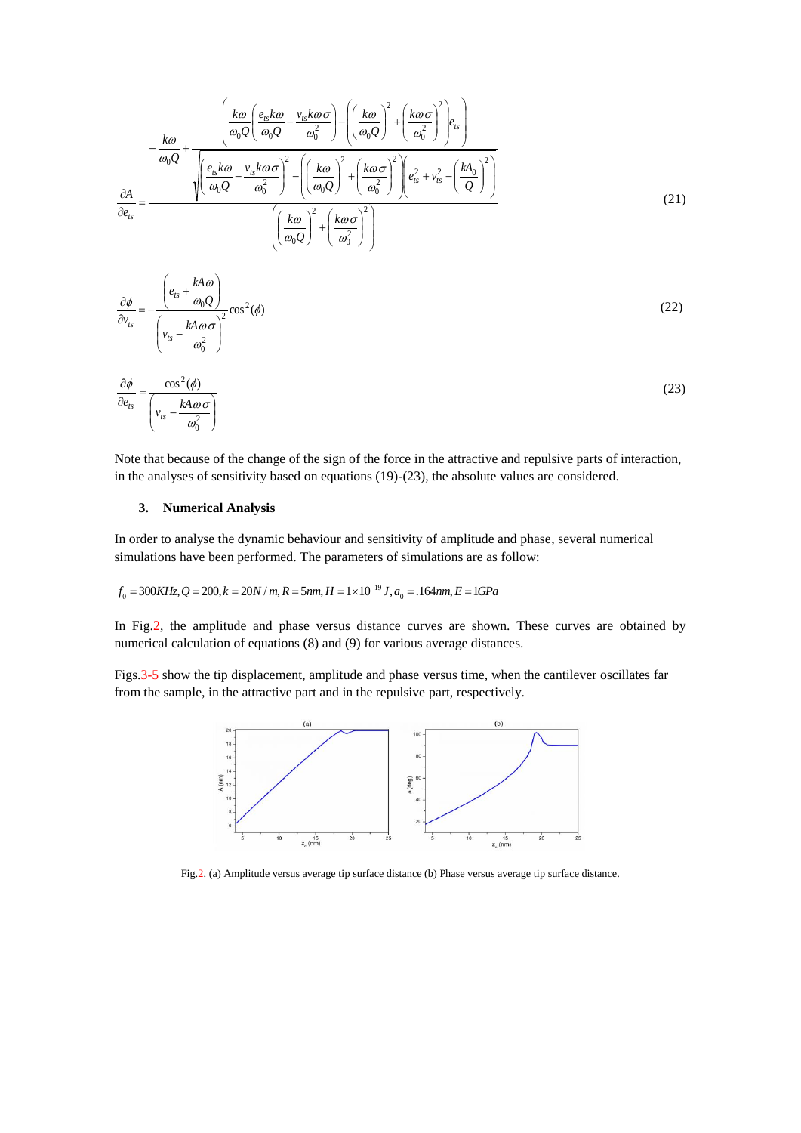$$
-\frac{k\omega}{\omega_0 Q} + \frac{\left(\frac{k\omega}{\omega_0 Q} \left(\frac{e_{ts}k\omega}{\omega_0 Q} - \frac{v_{ts}k\omega\sigma}{\omega_0^2}\right) - \left(\left(\frac{k\omega}{\omega_0 Q}\right)^2 + \left(\frac{k\omega\sigma}{\omega_0^2}\right)^2\right)e_s\right)}{\sqrt{\left(\frac{e_{ts}k\omega}{\omega_0 Q} - \frac{v_{ts}k\omega\sigma}{\omega_0^2}\right)^2 - \left(\left(\frac{k\omega}{\omega_0 Q}\right)^2 + \left(\frac{k\omega\sigma}{\omega_0^2}\right)^2\right)e_s^2 + v_s^2 - \left(\frac{kA_0}{Q}\right)^2\right)}}{\left(\left(\frac{k\omega}{\omega_0 Q}\right)^2 + \left(\frac{k\omega\sigma}{\omega_0^2}\right)^2\right)}
$$
(21)

$$
\frac{\partial \phi}{\partial v_{ts}} = -\frac{\left(e_{ts} + \frac{kA\omega}{\omega_0 Q}\right)}{\left(v_{ts} - \frac{kA\omega\sigma}{\omega_0^2}\right)^2} \cos^2(\phi)
$$
\n(22)

$$
\frac{\partial \phi}{\partial e_{ts}} = \frac{\cos^2(\phi)}{\left(v_{ts} - \frac{kA\omega\sigma}{\omega_0^2}\right)}
$$
(23)

Note that because of the change of the sign of the force in the attractive and repulsive parts of interaction, in the analyses of sensitivity based on equations (19)-(23), the absolute values are considered.

## **3. Numerical Analysis**

In order to analyse the dynamic behaviour and sensitivity of amplitude and phase, several numerical simulations have been performed. The parameters of simulations are as follow:

# $f_0 = 300K$ Hz,  $Q = 200$ ,  $k = 20$ N / m,  $R = 5$ nm,  $H = 1 \times 10^{-19}$  J,  $a_0 = .164$ nm,  $E = 1G$ Pa

In Fig.2, the amplitude and phase versus distance curves are shown. These curves are obtained by numerical calculation of equations (8) and (9) for various average distances.

Figs.3-5 show the tip displacement, amplitude and phase versus time, when the cantilever oscillates far from the sample, in the attractive part and in the repulsive part, respectively.



Fig.2. (a) Amplitude versus average tip surface distance (b) Phase versus average tip surface distance.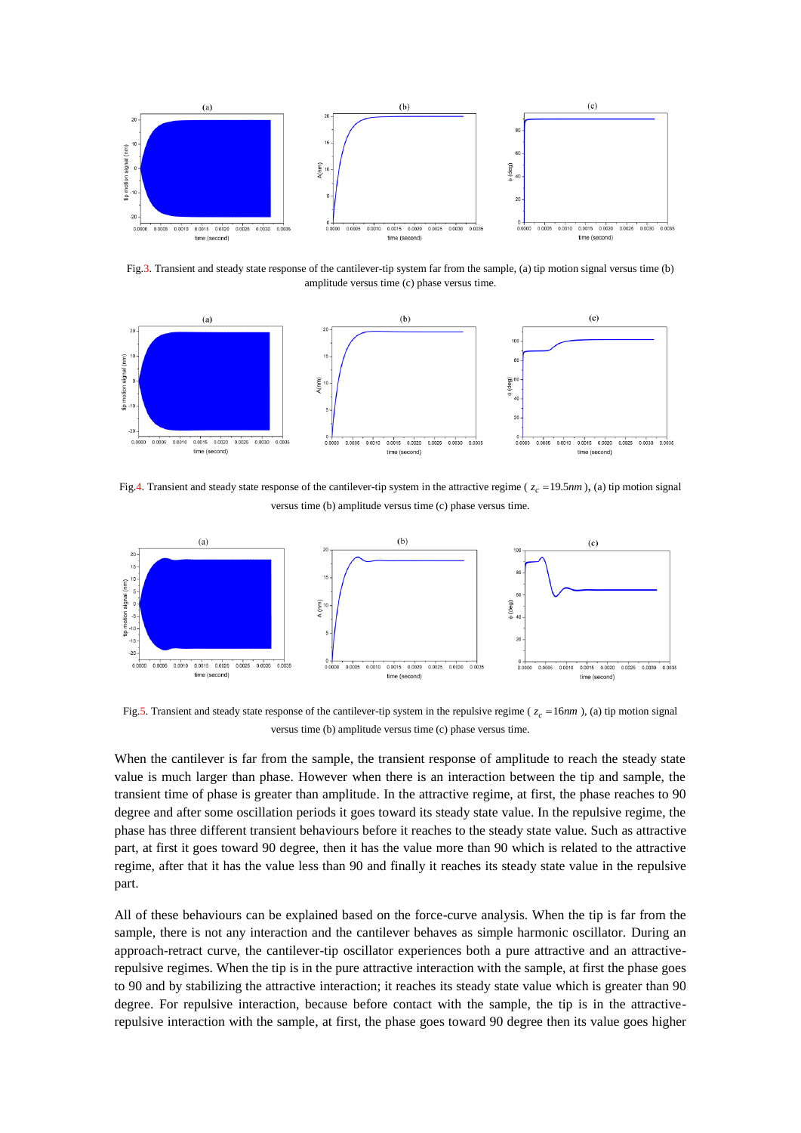

Fig.3. Transient and steady state response of the cantilever-tip system far from the sample, (a) tip motion signal versus time (b) amplitude versus time (c) phase versus time.



Fig.4. Transient and steady state response of the cantilever-tip system in the attractive regime ( $z_c = 19.5nm$ ), (a) tip motion signal versus time (b) amplitude versus time (c) phase versus time.



Fig.5. Transient and steady state response of the cantilever-tip system in the repulsive regime ( *zc* 16*nm* ), (a) tip motion signal versus time (b) amplitude versus time (c) phase versus time.

When the cantilever is far from the sample, the transient response of amplitude to reach the steady state value is much larger than phase. However when there is an interaction between the tip and sample, the transient time of phase is greater than amplitude. In the attractive regime, at first, the phase reaches to 90 degree and after some oscillation periods it goes toward its steady state value. In the repulsive regime, the phase has three different transient behaviours before it reaches to the steady state value. Such as attractive part, at first it goes toward 90 degree, then it has the value more than 90 which is related to the attractive regime, after that it has the value less than 90 and finally it reaches its steady state value in the repulsive part.

All of these behaviours can be explained based on the force-curve analysis. When the tip is far from the sample, there is not any interaction and the cantilever behaves as simple harmonic oscillator. During an approach-retract curve, the cantilever-tip oscillator experiences both a pure attractive and an attractiverepulsive regimes. When the tip is in the pure attractive interaction with the sample, at first the phase goes to 90 and by stabilizing the attractive interaction; it reaches its steady state value which is greater than 90 degree. For repulsive interaction, because before contact with the sample, the tip is in the attractiverepulsive interaction with the sample, at first, the phase goes toward 90 degree then its value goes higher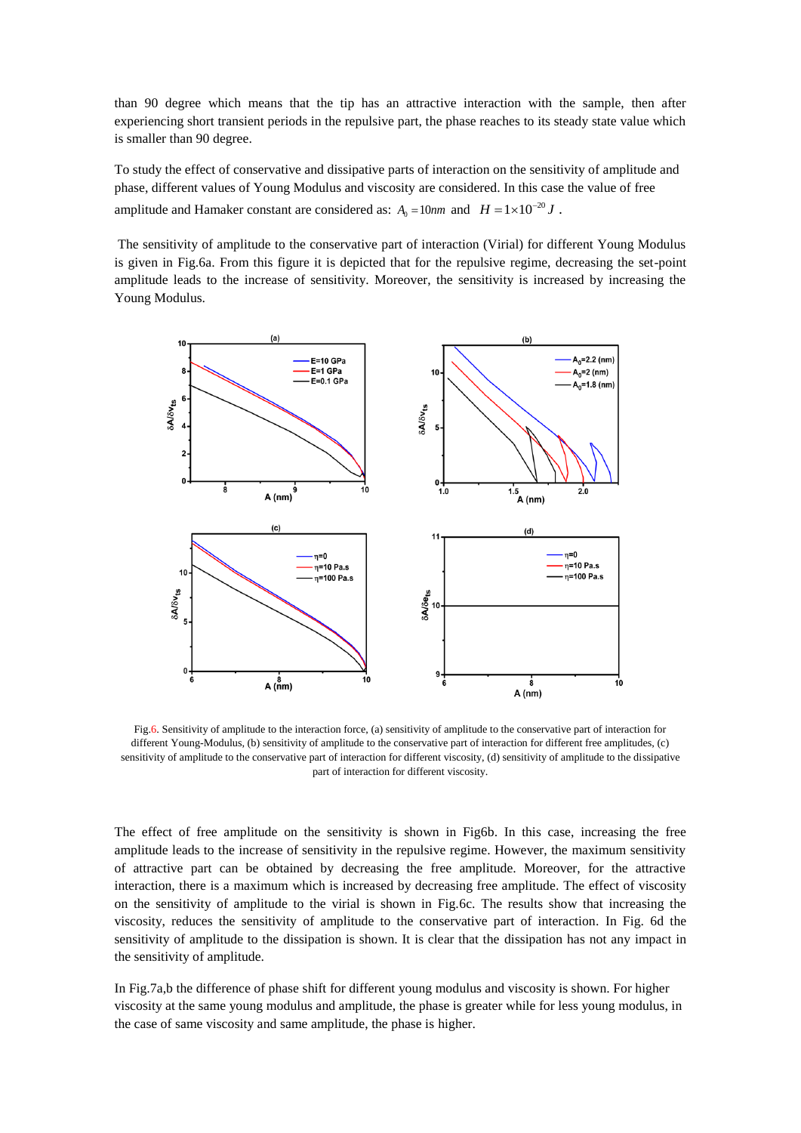than 90 degree which means that the tip has an attractive interaction with the sample, then after experiencing short transient periods in the repulsive part, the phase reaches to its steady state value which is smaller than 90 degree.

To study the effect of conservative and dissipative parts of interaction on the sensitivity of amplitude and phase, different values of Young Modulus and viscosity are considered. In this case the value of free amplitude and Hamaker constant are considered as:  $A_0 = 10nm$  and  $H = 1 \times 10^{-20} J$ .

The sensitivity of amplitude to the conservative part of interaction (Virial) for different Young Modulus is given in Fig.6a. From this figure it is depicted that for the repulsive regime, decreasing the set-point amplitude leads to the increase of sensitivity. Moreover, the sensitivity is increased by increasing the Young Modulus.



Fig.6. Sensitivity of amplitude to the interaction force, (a) sensitivity of amplitude to the conservative part of interaction for different Young-Modulus, (b) sensitivity of amplitude to the conservative part of interaction for different free amplitudes, (c) sensitivity of amplitude to the conservative part of interaction for different viscosity, (d) sensitivity of amplitude to the dissipative part of interaction for different viscosity.

The effect of free amplitude on the sensitivity is shown in Fig6b. In this case, increasing the free amplitude leads to the increase of sensitivity in the repulsive regime. However, the maximum sensitivity of attractive part can be obtained by decreasing the free amplitude. Moreover, for the attractive interaction, there is a maximum which is increased by decreasing free amplitude. The effect of viscosity on the sensitivity of amplitude to the virial is shown in Fig.6c. The results show that increasing the viscosity, reduces the sensitivity of amplitude to the conservative part of interaction. In Fig. 6d the sensitivity of amplitude to the dissipation is shown. It is clear that the dissipation has not any impact in the sensitivity of amplitude.

In Fig.7a,b the difference of phase shift for different young modulus and viscosity is shown. For higher viscosity at the same young modulus and amplitude, the phase is greater while for less young modulus, in the case of same viscosity and same amplitude, the phase is higher.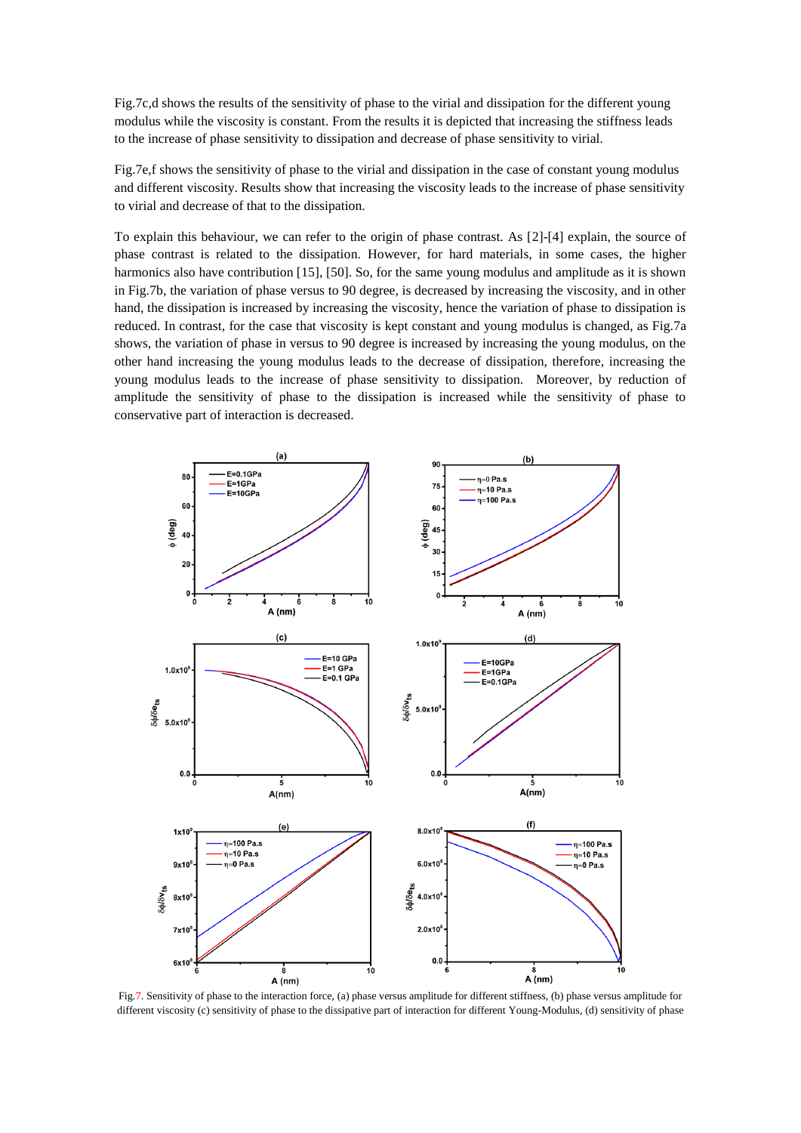Fig.7c,d shows the results of the sensitivity of phase to the virial and dissipation for the different young modulus while the viscosity is constant. From the results it is depicted that increasing the stiffness leads to the increase of phase sensitivity to dissipation and decrease of phase sensitivity to virial.

Fig.7e,f shows the sensitivity of phase to the virial and dissipation in the case of constant young modulus and different viscosity. Results show that increasing the viscosity leads to the increase of phase sensitivity to virial and decrease of that to the dissipation.

To explain this behaviour, we can refer to the origin of phase contrast. As [2]-[4] explain, the source of phase contrast is related to the dissipation. However, for hard materials, in some cases, the higher harmonics also have contribution [15], [50]. So, for the same young modulus and amplitude as it is shown in Fig.7b, the variation of phase versus to 90 degree, is decreased by increasing the viscosity, and in other hand, the dissipation is increased by increasing the viscosity, hence the variation of phase to dissipation is reduced. In contrast, for the case that viscosity is kept constant and young modulus is changed, as Fig.7a shows, the variation of phase in versus to 90 degree is increased by increasing the young modulus, on the other hand increasing the young modulus leads to the decrease of dissipation, therefore, increasing the young modulus leads to the increase of phase sensitivity to dissipation. Moreover, by reduction of amplitude the sensitivity of phase to the dissipation is increased while the sensitivity of phase to conservative part of interaction is decreased.



Fig.7. Sensitivity of phase to the interaction force, (a) phase versus amplitude for different stiffness, (b) phase versus amplitude for different viscosity (c) sensitivity of phase to the dissipative part of interaction for different Young-Modulus, (d) sensitivity of phase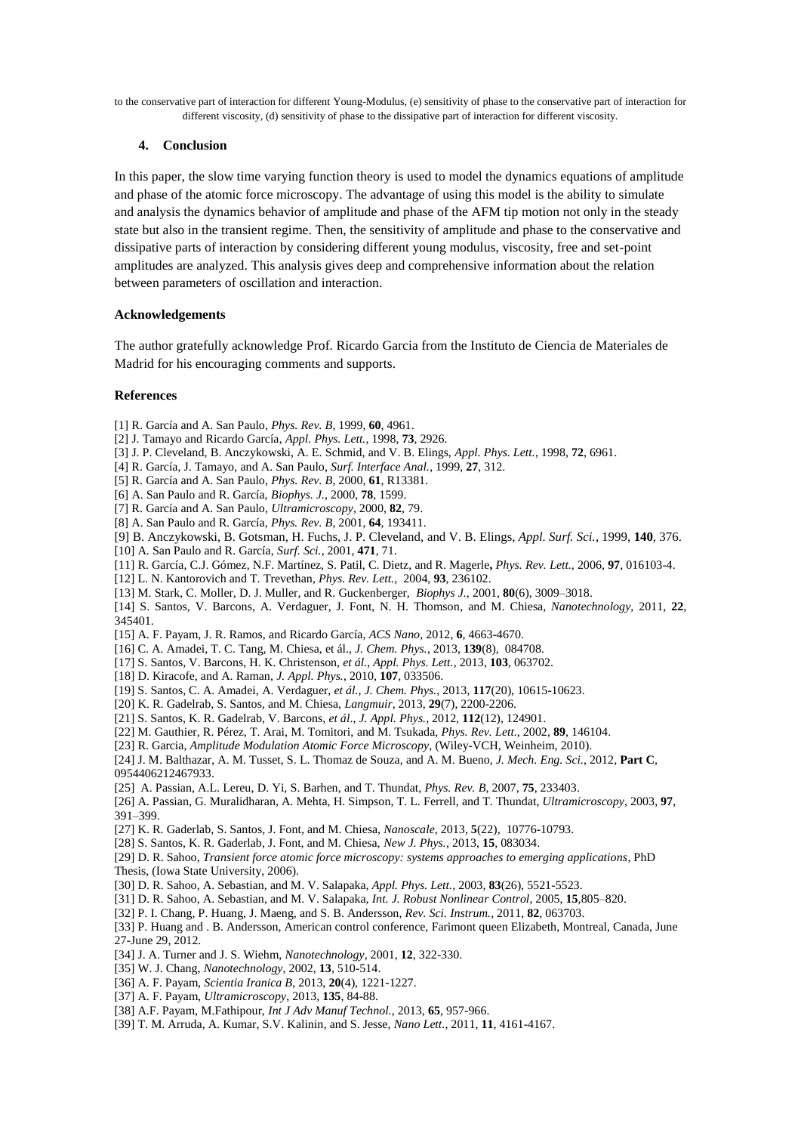to the conservative part of interaction for different Young-Modulus, (e) sensitivity of phase to the conservative part of interaction for different viscosity, (d) sensitivity of phase to the dissipative part of interaction for different viscosity.

### **4. Conclusion**

In this paper, the slow time varying function theory is used to model the dynamics equations of amplitude and phase of the atomic force microscopy. The advantage of using this model is the ability to simulate and analysis the dynamics behavior of amplitude and phase of the AFM tip motion not only in the steady state but also in the transient regime. Then, the sensitivity of amplitude and phase to the conservative and dissipative parts of interaction by considering different young modulus, viscosity, free and set-point amplitudes are analyzed. This analysis gives deep and comprehensive information about the relation between parameters of oscillation and interaction.

### **Acknowledgements**

The author gratefully acknowledge Prof. Ricardo Garcia from the Instituto de Ciencia de Materiales de Madrid for his encouraging comments and supports.

### **References**

- [1] R. García and A. San Paulo, *Phys. Rev. B*, 1999, **60**, 4961.
- [2] J. Tamayo and Ricardo García, *Appl. Phys. Lett.*, 1998, **73**, 2926.
- [3] J. P. Cleveland, B. Anczykowski, A. E. Schmid, and V. B. Elings, *Appl. Phys. Lett.*, 1998, **72**, 6961.
- [4] R. García, J. Tamayo, and A. San Paulo, *Surf. Interface Anal.*, 1999, **27**, 312.
- [5] R. García and A. San Paulo, *Phys. Rev. B*, 2000, **61**, R13381.
- [6] A. San Paulo and R. García, *Biophys. J.*, 2000, **78**, 1599.
- [7] R. García and A. San Paulo, *Ultramicroscopy*, 2000, **82**, 79.
- [8] A. San Paulo and R. García, *Phys. Rev. B*, 2001, **64**, 193411.
- [9] B. Anczykowski, B. Gotsman, H. Fuchs, J. P. Cleveland, and V. B. Elings, *Appl. Surf. Sci.*, 1999, **140**, 376.
- [10] A. San Paulo and R. García, *Surf. Sci.*, 2001, **471**, 71.
- [11] R. García, C.J. Gómez, N.F. Martínez, S. Patil, C. Dietz, and R. Magerle**,** *Phys. Rev. Lett.*, 2006, **97**, 016103-4.
- [12] L. N. Kantorovich and T. Trevethan, *Phys. Rev. Lett.*, 2004, **93**, 236102.
- [13] M. Stark, C. Moller, D. J. Muller, and R. Guckenberger, *Biophys J.*, 2001, **80**(6), 3009–3018.
- [14] S. Santos, V. Barcons, A. Verdaguer, J. Font, N. H. Thomson, and M. Chiesa, *Nanotechnology*, 2011, **22**, 345401.
- [15] A. F. Payam, J. R. Ramos, and Ricardo García, *ACS Nano*, 2012, **6**, 4663-4670.
- [16] C. A. Amadei, T. C. Tang, M. Chiesa, et ál., *J. Chem. Phys.*, 2013, **139**(8), 084708.
- [17] S. Santos, V. Barcons, H. K. Christenson, *et ál.*, *Appl. Phys. Lett.*, 2013, **103**, 063702.
- [18] D. Kiracofe, and A. Raman, *J. Appl. Phys.*, 2010, **107**, 033506.
- [19] S. Santos, C. A. Amadei, A. Verdaguer, *et ál.*, *J. Chem. Phys.*, 2013, **117**(20), 10615-10623.
- [20] K. R. Gadelrab, S. Santos, and M. Chiesa, *Langmuir*, 2013, **29**(7), 2200-2206.
- [21] S. Santos, K. R. Gadelrab, V. Barcons, *et ál*., *J. Appl. Phys.*, 2012, **112**(12), 124901.
- [22] M. Gauthier, R. Pérez, T. Arai, M. Tomitori, and M. Tsukada, *Phys. Rev. Lett.*, 2002, **89**, 146104.
- [23] R. Garcia, *Amplitude Modulation Atomic Force Microscopy*, (Wiley-VCH, Weinheim, 2010).

[24] J. M. Balthazar, A. M. Tusset, S. L. Thomaz de Souza, and A. M. Bueno, *J. [Mech.](http://pic.sagepub.com/content/early/2012/11/21/0954406212467933.abstract) Eng. Sci.*, 2012, **Part C**, 0954406212467933.

- [25] A. Passian, A.L. Lereu, D. Yi, S. Barhen, and T. Thundat, *Phys. Rev. B*, 2007, **75**, 233403.
- [26] A. Passian, G. Muralidharan, A. Mehta, H. Simpson, T. L. Ferrell, and T. Thundat, *Ultramicroscopy*, 2003, **97**, 391–399.
- [27] K. R. [Gaderlab,](http://apps.webofknowledge.com/OneClickSearch.do?product=UA&search_mode=OneClickSearch&excludeEventConfig=ExcludeIfFromFullRecPage&SID=P2dFcZbCCksctVqFANZ&field=AU&value=Gadelrab,%20K) S. Santos, J[. Font,](http://apps.webofknowledge.com/OneClickSearch.do?product=UA&search_mode=OneClickSearch&excludeEventConfig=ExcludeIfFromFullRecPage&SID=P2dFcZbCCksctVqFANZ&field=AU&value=Font,%20J) and M. [Chiesa,](http://apps.webofknowledge.com/OneClickSearch.do?product=UA&search_mode=OneClickSearch&excludeEventConfig=ExcludeIfFromFullRecPage&SID=P2dFcZbCCksctVqFANZ&field=AU&value=Chiesa,%20M) *Nanoscale*, 2013, **5**(22), 10776-10793.
- [28] S. Santos, K. R. Gaderlab, J. Font, and M. Chiesa, *New J. Phys.*, 2013, **15**, 083034.
- [29] D. R. Sahoo, *Transient force atomic force microscopy: systems approaches to emerging applications*, PhD Thesis, (Iowa State University, 2006).
- [30] D. R. Sahoo, A. Sebastian, and M. V. Salapaka, *Appl. Phys. Lett.*, 2003, **83**(26), 5521-5523.
- [31] D. R. Sahoo, A. Sebastian, and M. V. Salapaka, *Int. J. Robust Nonlinear Control*, 2005, **15**,805–820.
- [32] P. I. Chang, P. Huang, J. Maeng, and S. B. Andersson, *Rev. Sci. Instrum.*, 2011, **82**, 063703.

[33] P. Huang and . B. Andersson, American control conference, Farimont queen Elizabeth, Montreal, Canada, June 27-June 29, 2012.

- [34] J. A. Turner and J. S. Wiehm, *Nanotechnology*, 2001, **12**, 322-330.
- [35] W. J. Chang, *Nanotechnology*, 2002, **13**, 510-514.
- [36] A. F. Payam, *Scientia Iranica B*, 2013, **20**(4), 1221-1227.
- [37] A. F. Payam, *Ultramicroscopy*, 2013, **135**, 84-88.
- [38] A.F. Payam, M.Fathipour, *[Int J Adv Manuf](http://www.allacronyms.com/Int_J_Adv_Manuf_Technol/International_Journal_of_Advanced_Manufacturing_Technology) Technol.*, 2013, **65**, 957-966.
- [39] T. M. Arruda, A. Kumar, S.V. Kalinin, and S. Jesse, *Nano Lett.*, 2011, **11**, 4161-4167.